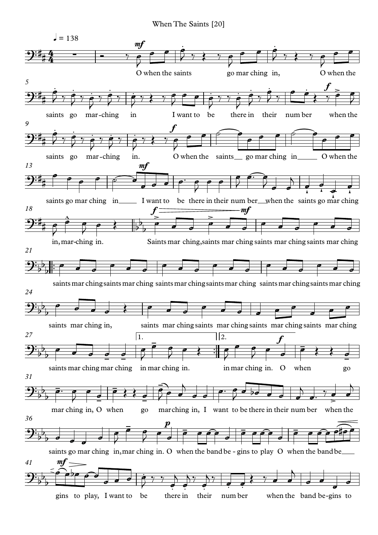When The Saints [20]